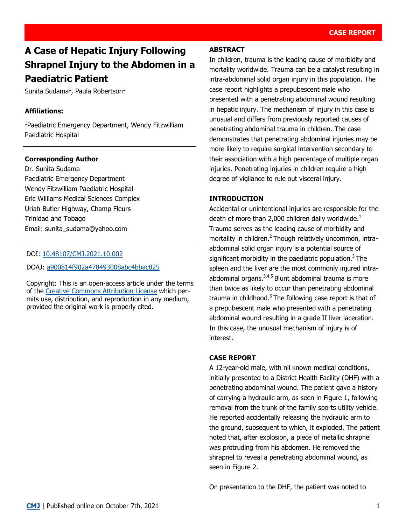# **A Case of Hepatic Injury Following Shrapnel Injury to the Abdomen in a Paediatric Patient**

Sunita Sudama $^1$ , Paula Robertson $^1$ 

#### **Affiliations:**

1 Paediatric Emergency Department, Wendy Fitzwilliam Paediatric Hospital

### **Corresponding Author**

Dr. Sunita Sudama Paediatric Emergency Department Wendy Fitzwilliam Paediatric Hospital Eric Williams Medical Sciences Complex Uriah Butler Highway, Champ Fleurs Trinidad and Tobago Email: sunita\_sudama@yahoo.com

#### DOI: [10.48107/CMJ.2021.10.002](https://doi.org/10.48107/CMJ.2021.10.002)

DOAJ: [a900814f902a478493008abc4bbac825](https://doaj.org/article/a900814f902a478493008abc4bbac825)

Copyright: This is an open-access article under the terms of the [Creative Commons Attribution License](http://creativecommons.org/licenses/by/4.0/) which permits use, distribution, and reproduction in any medium, provided the original work is properly cited.

#### **ABSTRACT**

In children, trauma is the leading cause of morbidity and mortality worldwide. Trauma can be a catalyst resulting in intra-abdominal solid organ injury in this population. The case report highlights a prepubescent male who presented with a penetrating abdominal wound resulting in hepatic injury. The mechanism of injury in this case is unusual and differs from previously reported causes of penetrating abdominal trauma in children. The case demonstrates that penetrating abdominal injuries may be more likely to require surgical intervention secondary to their association with a high percentage of multiple organ injuries. Penetrating injuries in children require a high degree of vigilance to rule out visceral injury.

#### **INTRODUCTION**

Accidental or unintentional injuries are responsible for the death of more than 2,000 children daily worldwide. $<sup>1</sup>$ </sup> Trauma serves as the leading cause of morbidity and mortality in children.<sup>2</sup> Though relatively uncommon, intraabdominal solid organ injury is a potential source of significant morbidity in the paediatric population.<sup>3</sup> The spleen and the liver are the most commonly injured intraabdominal organs.<sup>3,4,5</sup> Blunt abdominal trauma is more than twice as likely to occur than penetrating abdominal trauma in childhood.<sup>6</sup> The following case report is that of a prepubescent male who presented with a penetrating abdominal wound resulting in a grade II liver laceration. In this case, the unusual mechanism of injury is of interest.

#### **CASE REPORT**

A 12-year-old male, with nil known medical conditions, initially presented to a District Health Facility (DHF) with a penetrating abdominal wound. The patient gave a history of carrying a hydraulic arm, as seen in Figure 1, following removal from the trunk of the family sports utility vehicle. He reported accidentally releasing the hydraulic arm to the ground, subsequent to which, it exploded. The patient noted that, after explosion, a piece of metallic shrapnel was protruding from his abdomen. He removed the shrapnel to reveal a penetrating abdominal wound, as seen in Figure 2.

On presentation to the DHF, the patient was noted to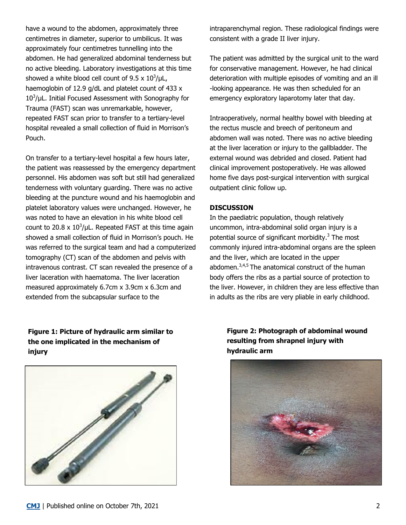have a wound to the abdomen, approximately three centimetres in diameter, superior to umbilicus. It was approximately four centimetres tunnelling into the abdomen. He had generalized abdominal tenderness but no active bleeding. Laboratory investigations at this time showed a white blood cell count of  $9.5 \times 10^3/\mu$ L, haemoglobin of 12.9 g/dL and platelet count of 433 x  $10<sup>3</sup>/\mu$ L. Initial Focused Assessment with Sonography for Trauma (FAST) scan was unremarkable, however, repeated FAST scan prior to transfer to a tertiary-level hospital revealed a small collection of fluid in Morrison's Pouch.

On transfer to a tertiary-level hospital a few hours later, the patient was reassessed by the emergency department personnel. His abdomen was soft but still had generalized tenderness with voluntary guarding. There was no active bleeding at the puncture wound and his haemoglobin and platelet laboratory values were unchanged. However, he was noted to have an elevation in his white blood cell count to 20.8 x  $10^3$ /µL. Repeated FAST at this time again showed a small collection of fluid in Morrison's pouch. He was referred to the surgical team and had a computerized tomography (CT) scan of the abdomen and pelvis with intravenous contrast. CT scan revealed the presence of a liver laceration with haematoma. The liver laceration measured approximately 6.7cm x 3.9cm x 6.3cm and extended from the subcapsular surface to the

**Figure 1: Picture of hydraulic arm similar to the one implicated in the mechanism of injury**



intraparenchymal region. These radiological findings were consistent with a grade II liver injury.

The patient was admitted by the surgical unit to the ward for conservative management. However, he had clinical deterioration with multiple episodes of vomiting and an ill -looking appearance. He was then scheduled for an emergency exploratory laparotomy later that day.

Intraoperatively, normal healthy bowel with bleeding at the rectus muscle and breech of peritoneum and abdomen wall was noted. There was no active bleeding at the liver laceration or injury to the gallbladder. The external wound was debrided and closed. Patient had clinical improvement postoperatively. He was allowed home five days post-surgical intervention with surgical outpatient clinic follow up.

#### **DISCUSSION**

In the paediatric population, though relatively uncommon, intra-abdominal solid organ injury is a potential source of significant morbidity. $3$  The most commonly injured intra-abdominal organs are the spleen and the liver, which are located in the upper abdomen. $3,4,5$  The anatomical construct of the human body offers the ribs as a partial source of protection to the liver. However, in children they are less effective than in adults as the ribs are very pliable in early childhood.

> **Figure 2: Photograph of abdominal wound resulting from shrapnel injury with hydraulic arm**

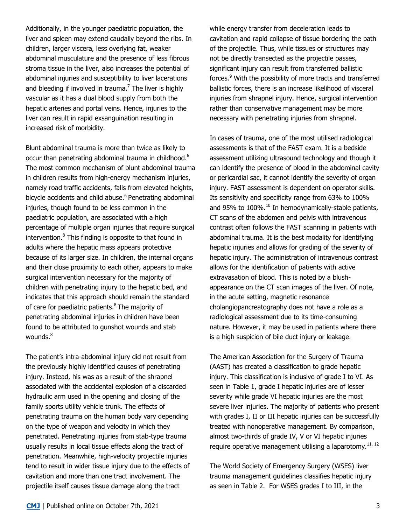Additionally, in the younger paediatric population, the liver and spleen may extend caudally beyond the ribs. In children, larger viscera, less overlying fat, weaker abdominal musculature and the presence of less fibrous stroma tissue in the liver, also increases the potential of abdominal injuries and susceptibility to liver lacerations and bleeding if involved in trauma.<sup>7</sup> The liver is highly vascular as it has a dual blood supply from both the hepatic arteries and portal veins. Hence, injuries to the liver can result in rapid exsanguination resulting in increased risk of morbidity.

Blunt abdominal trauma is more than twice as likely to occur than penetrating abdominal trauma in childhood.<sup>6</sup> The most common mechanism of blunt abdominal trauma in children results from high-energy mechanism injuries, namely road traffic accidents, falls from elevated heights, bicycle accidents and child abuse.<sup>6</sup> Penetrating abdominal injuries, though found to be less common in the paediatric population, are associated with a high percentage of multiple organ injuries that require surgical intervention.<sup>8</sup> This finding is opposite to that found in adults where the hepatic mass appears protective because of its larger size. In children, the internal organs and their close proximity to each other, appears to make surgical intervention necessary for the majority of children with penetrating injury to the hepatic bed, and indicates that this approach should remain the standard of care for paediatric patients.<sup>8</sup> The majority of penetrating abdominal injuries in children have been found to be attributed to gunshot wounds and stab wounds.<sup>8</sup>

The patient's intra-abdominal injury did not result from the previously highly identified causes of penetrating injury. Instead, his was as a result of the shrapnel associated with the accidental explosion of a discarded hydraulic arm used in the opening and closing of the family sports utility vehicle trunk. The effects of penetrating trauma on the human body vary depending on the type of weapon and velocity in which they penetrated. Penetrating injuries from stab-type trauma usually results in local tissue effects along the tract of penetration. Meanwhile, high-velocity projectile injuries tend to result in wider tissue injury due to the effects of cavitation and more than one tract involvement. The projectile itself causes tissue damage along the tract

while energy transfer from deceleration leads to cavitation and rapid collapse of tissue bordering the path of the projectile. Thus, while tissues or structures may not be directly transected as the projectile passes, significant injury can result from transferred ballistic forces.<sup>9</sup> With the possibility of more tracts and transferred ballistic forces, there is an increase likelihood of visceral injuries from shrapnel injury. Hence, surgical intervention rather than conservative management may be more necessary with penetrating injuries from shrapnel.

In cases of trauma, one of the most utilised radiological assessments is that of the FAST exam. It is a bedside assessment utilizing ultrasound technology and though it can identify the presence of blood in the abdominal cavity or pericardial sac, it cannot identify the severity of organ injury. FAST assessment is dependent on operator skills. Its sensitivity and specificity range from 63% to 100% and 95% to  $100\%$ .<sup>10</sup> In hemodynamically-stable patients, CT scans of the abdomen and pelvis with intravenous contrast often follows the FAST scanning in patients with abdominal trauma. It is the best modality for identifying hepatic injuries and allows for grading of the severity of hepatic injury. The administration of intravenous contrast allows for the identification of patients with active extravasation of blood. This is noted by a blushappearance on the CT scan images of the liver. Of note, in the acute setting, magnetic resonance cholangiopancreatography does not have a role as a radiological assessment due to its time-consuming nature. However, it may be used in patients where there is a high suspicion of bile duct injury or leakage.

The American Association for the Surgery of Trauma (AAST) has created a classification to grade hepatic injury. This classification is inclusive of grade I to VI. As seen in Table 1, grade I hepatic injuries are of lesser severity while grade VI hepatic injuries are the most severe liver injuries. The majority of patients who present with grades I, II or III hepatic injuries can be successfully treated with nonoperative management. By comparison, almost two-thirds of grade IV, V or VI hepatic injuries require operative management utilising a laparotomy.<sup>11, 12</sup>

The World Society of Emergency Surgery (WSES) liver trauma management guidelines classifies hepatic injury as seen in Table 2. For WSES grades I to III, in the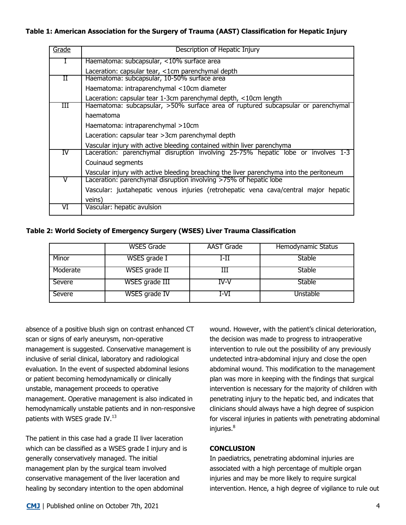| Grade | Description of Hepatic Injury                                                                 |  |  |  |
|-------|-----------------------------------------------------------------------------------------------|--|--|--|
|       | Haematoma: subcapsular, <10% surface area                                                     |  |  |  |
|       | Laceration: capsular tear, <1cm parenchymal depth                                             |  |  |  |
| Н     | Haematoma: subcapsular, 10-50% surface area                                                   |  |  |  |
|       | Haematoma: intraparenchymal <10cm diameter                                                    |  |  |  |
|       | Laceration: capsular tear 1-3cm parenchymal depth, <10cm length                               |  |  |  |
| Ш     | Haematoma: subcapsular, >50% surface area of ruptured subcapsular or parenchymal<br>haematoma |  |  |  |
|       |                                                                                               |  |  |  |
|       | Haematoma: intraparenchymal >10cm                                                             |  |  |  |
|       | Laceration: capsular tear > 3cm parenchymal depth                                             |  |  |  |
|       | Vascular injury with active bleeding contained within liver parenchyma                        |  |  |  |
| IV    | Laceration: parenchymal disruption involving 25-75% hepatic lobe or involves 1-3              |  |  |  |
|       | Couinaud segments                                                                             |  |  |  |
|       | Vascular injury with active bleeding breaching the liver parenchyma into the peritoneum       |  |  |  |
|       | Laceration: parenchymal disruption involving >75% of hepatic lobe                             |  |  |  |
|       | Vascular: juxtahepatic venous injuries (retrohepatic vena cava/central major hepatic          |  |  |  |
|       | veins)                                                                                        |  |  |  |
| VI    | Vascular: hepatic avulsion                                                                    |  |  |  |

**Table 2: World Society of Emergency Surgery (WSES) Liver Trauma Classification**

|          | WSES Grade     | AAST Grade | Hemodynamic Status |
|----------|----------------|------------|--------------------|
| Minor    | WSES grade I   | I-II       | <b>Stable</b>      |
| Moderate | WSES grade II  |            | Stable             |
| Severe   | WSES grade III | TV-V       | Stable             |
| Severe   | WSES grade IV  | T-VT       | Jnstable           |

absence of a positive blush sign on contrast enhanced CT scan or signs of early aneurysm, non-operative management is suggested. Conservative management is inclusive of serial clinical, laboratory and radiological evaluation. In the event of suspected abdominal lesions or patient becoming hemodynamically or clinically unstable, management proceeds to operative management. Operative management is also indicated in hemodynamically unstable patients and in non-responsive patients with WSES grade IV. $^{13}$ 

The patient in this case had a grade II liver laceration which can be classified as a WSES grade I injury and is generally conservatively managed. The initial management plan by the surgical team involved conservative management of the liver laceration and healing by secondary intention to the open abdominal

wound. However, with the patient's clinical deterioration, the decision was made to progress to intraoperative intervention to rule out the possibility of any previously undetected intra-abdominal injury and close the open abdominal wound. This modification to the management plan was more in keeping with the findings that surgical intervention is necessary for the majority of children with penetrating injury to the hepatic bed, and indicates that clinicians should always have a high degree of suspicion for visceral injuries in patients with penetrating abdominal injuries.<sup>8</sup>

## **CONCLUSION**

In paediatrics, penetrating abdominal injuries are associated with a high percentage of multiple organ injuries and may be more likely to require surgical intervention. Hence, a high degree of vigilance to rule out